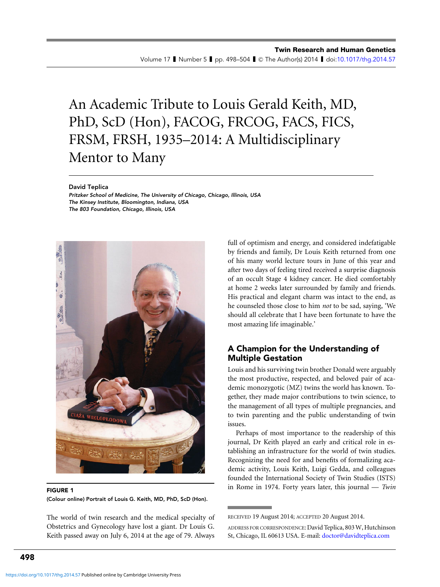# An Academic Tribute to Louis Gerald Keith, MD, PhD, ScD (Hon), FACOG, FRCOG, FACS, FICS, FRSM, FRSH, 1935–2014: A Multidisciplinary Mentor to Many

David Teplica

Pritzker School of Medicine, The University of Chicago, Chicago, Illinois, USA The Kinsey Institute, Bloomington, Indiana, USA The 803 Foundation, Chicago, Illinois, USA



#### FIGURE 1

(Colour online) Portrait of Louis G. Keith, MD, PhD, ScD (Hon).

The world of twin research and the medical specialty of Obstetrics and Gynecology have lost a giant. Dr Louis G. Keith passed away on July 6, 2014 at the age of 79. Always full of optimism and energy, and considered indefatigable by friends and family, Dr Louis Keith returned from one of his many world lecture tours in June of this year and after two days of feeling tired received a surprise diagnosis of an occult Stage 4 kidney cancer. He died comfortably at home 2 weeks later surrounded by family and friends. His practical and elegant charm was intact to the end, as he counseled those close to him *not* to be sad, saying, 'We should all celebrate that I have been fortunate to have the most amazing life imaginable.'

# A Champion for the Understanding of Multiple Gestation

Louis and his surviving twin brother Donald were arguably the most productive, respected, and beloved pair of academic monozygotic (MZ) twins the world has known. Together, they made major contributions to twin science, to the management of all types of multiple pregnancies, and to twin parenting and the public understanding of twin issues.

Perhaps of most importance to the readership of this journal, Dr Keith played an early and critical role in establishing an infrastructure for the world of twin studies. Recognizing the need for and benefits of formalizing academic activity, Louis Keith, Luigi Gedda, and colleagues founded the International Society of Twin Studies (ISTS) in Rome in 1974. Forty years later, this journal — *Twin*

RECEIVED 19 August 2014; ACCEPTED 20 August 2014.

ADDRESS FOR CORRESPONDENCE: David Teplica, 803 W, Hutchinson St, Chicago, IL 60613 USA. E-mail: [doctor@davidteplica.com](mailto:doctor@davidteplica.com)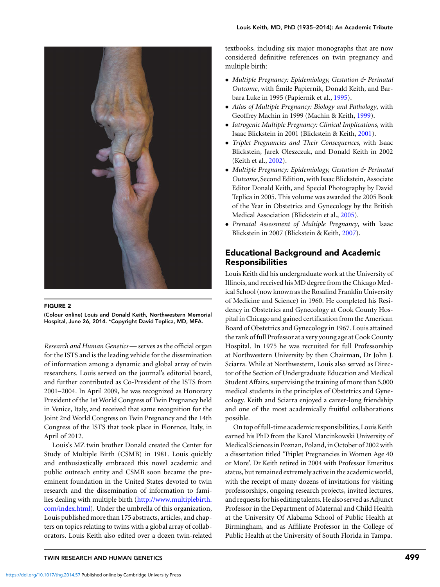

#### FIGURE 2

(Colour online) Louis and Donald Keith, Northwestern Memorial Hospital, June 26, 2014. **<sup>∗</sup>**Copyright David Teplica, MD, MFA.

*Research and Human Genetics* — serves as the official organ for the ISTS and is the leading vehicle for the dissemination of information among a dynamic and global array of twin researchers. Louis served on the journal's editorial board, and further contributed as Co-President of the ISTS from 2001–2004. In April 2009, he was recognized as Honorary President of the 1st World Congress of Twin Pregnancy held in Venice, Italy, and received that same recognition for the Joint 2nd World Congress on Twin Pregnancy and the 14th Congress of the ISTS that took place in Florence, Italy, in April of 2012.

Louis's MZ twin brother Donald created the Center for Study of Multiple Birth (CSMB) in 1981. Louis quickly and enthusiastically embraced this novel academic and public outreach entity and CSMB soon became the preeminent foundation in the United States devoted to twin research and the dissemination of information to families dealing with multiple birth [\(http://www.multiplebirth.](http://www.multiplebirth.com/index.html) [com/index.html\)](http://www.multiplebirth.com/index.html). Under the umbrella of this organization, Louis published more than 175 abstracts, articles, and chapters on topics relating to twins with a global array of collaborators. Louis Keith also edited over a dozen twin-related textbooks, including six major monographs that are now considered definitive references on twin pregnancy and multiple birth:

- *Multiple Pregnancy: Epidemiology, Gestation & Perinatal Outcome*, with Emile Papiernik, Donald Keith, and Bar- ´ bara Luke in 1995 (Papiernik et al., [1995\)](#page-6-0).
- *Atlas of Multiple Pregnancy: Biology and Pathology*, with Geoffrey Machin in 1999 (Machin & Keith, [1999\)](#page-6-0).
- *Iatrogenic Multiple Pregnancy: Clinical Implications*, with Isaac Blickstein in 2001 (Blickstein & Keith, [2001\)](#page-6-0).
- *Triplet Pregnancies and Their Consequences*, with Isaac Blickstein, Jarek Oleszczuk, and Donald Keith in 2002 (Keith et al., [2002\)](#page-6-0).
- *Multiple Pregnancy: Epidemiology, Gestation & Perinatal Outcome*, Second Edition, with Isaac Blickstein, Associate Editor Donald Keith, and Special Photography by David Teplica in 2005. This volume was awarded the 2005 Book of the Year in Obstetrics and Gynecology by the British Medical Association (Blickstein et al., [2005\)](#page-6-0).
- *Prenatal Assessment of Multiple Pregnancy*, with Isaac Blickstein in 2007 (Blickstein & Keith, [2007\)](#page-6-0).

# Educational Background and Academic Responsibilities

Louis Keith did his undergraduate work at the University of Illinois, and received his MD degree from the Chicago Medical School (now known as the Rosalind Franklin University of Medicine and Science) in 1960. He completed his Residency in Obstetrics and Gynecology at Cook County Hospital in Chicago and gained certification from the American Board of Obstetrics and Gynecology in 1967. Louis attained the rank of full Professor at a very young age at Cook County Hospital. In 1975 he was recruited for full Professorship at Northwestern University by then Chairman, Dr John J. Sciarra. While at Northwestern, Louis also served as Director of the Section of Undergraduate Education and Medical Student Affairs, supervising the training of more than 5,000 medical students in the principles of Obstetrics and Gynecology. Keith and Sciarra enjoyed a career-long friendship and one of the most academically fruitful collaborations possible.

On top of full-time academic responsibilities, Louis Keith earned his PhD from the Karol Marcinkowski University of Medical Sciences in Poznan, Poland, in October of 2002 with a dissertation titled 'Triplet Pregnancies in Women Age 40 or More'. Dr Keith retired in 2004 with Professor Emeritus status, but remained extremely active in the academic world, with the receipt of many dozens of invitations for visiting professorships, ongoing research projects, invited lectures, and requests for his editing talents. He also served as Adjunct Professor in the Department of Maternal and Child Health at the University Of Alabama School of Public Health at Birmingham, and as Affiliate Professor in the College of Public Health at the University of South Florida in Tampa.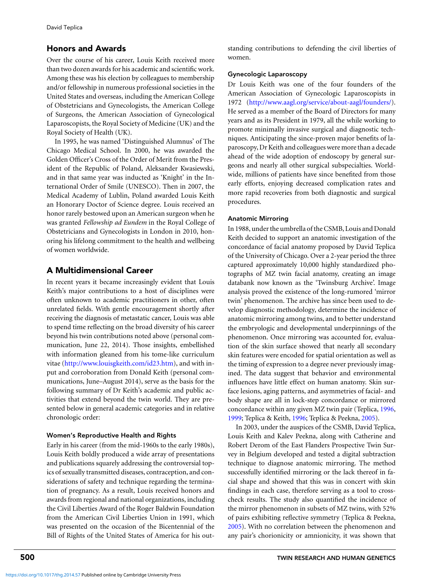## Honors and Awards

Over the course of his career, Louis Keith received more than two dozen awards for his academic and scientific work. Among these was his election by colleagues to membership and/or fellowship in numerous professional societies in the United States and overseas, including the American College of Obstetricians and Gynecologists, the American College of Surgeons, the American Association of Gynecological Laparoscopists, the Royal Society of Medicine (UK) and the Royal Society of Health (UK).

In 1995, he was named 'Distinguished Alumnus' of The Chicago Medical School. In 2000, he was awarded the Golden Officer's Cross of the Order of Merit from the President of the Republic of Poland, Aleksander Kwasiewski, and in that same year was inducted as 'Knight' in the International Order of Smile (UNESCO). Then in 2007, the Medical Academy of Lublin, Poland awarded Louis Keith an Honorary Doctor of Science degree. Louis received an honor rarely bestowed upon an American surgeon when he was granted *Fellowship ad Eundem* in the Royal College of Obstetricians and Gynecologists in London in 2010, honoring his lifelong commitment to the health and wellbeing of women worldwide.

# A Multidimensional Career

In recent years it became increasingly evident that Louis Keith's major contributions to a host of disciplines were often unknown to academic practitioners in other, often unrelated fields. With gentle encouragement shortly after receiving the diagnosis of metastatic cancer, Louis was able to spend time reflecting on the broad diversity of his career beyond his twin contributions noted above (personal communication, June 22, 2014). Those insights, embellished with information gleaned from his tome-like curriculum vitae [\(http://www.louisgkeith.com/id23.htm\)](http://www.louisgkeith.com/id23.htm), and with input and corroboration from Donald Keith (personal communications, June–August 2014), serve as the basis for the following summary of Dr Keith's academic and public activities that extend beyond the twin world. They are presented below in general academic categories and in relative chronologic order:

## Women's Reproductive Health and Rights

Early in his career (from the mid-1960s to the early 1980s), Louis Keith boldly produced a wide array of presentations and publications squarely addressing the controversial topics of sexually transmitted diseases, contraception, and considerations of safety and technique regarding the termination of pregnancy. As a result, Louis received honors and awards from regional and national organizations, including the Civil Liberties Award of the Roger Baldwin Foundation from the American Civil Liberties Union in 1991, which was presented on the occasion of the Bicentennial of the Bill of Rights of the United States of America for his outstanding contributions to defending the civil liberties of women.

## Gynecologic Laparoscopy

Dr Louis Keith was one of the four founders of the American Association of Gynecologic Laparoscopists in 1972 [\(http://www.aagl.org/service/about-aagl/founders/\)](http://www.aagl.org/service/about-aagl/founders/). He served as a member of the Board of Directors for many years and as its President in 1979, all the while working to promote minimally invasive surgical and diagnostic techniques. Anticipating the since-proven major benefits of laparoscopy, Dr Keith and colleagues were more than a decade ahead of the wide adoption of endoscopy by general surgeons and nearly all other surgical subspecialties. Worldwide, millions of patients have since benefited from those early efforts, enjoying decreased complication rates and more rapid recoveries from both diagnostic and surgical procedures.

## Anatomic Mirroring

In 1988, under the umbrella of the CSMB, Louis and Donald Keith decided to support an anatomic investigation of the concordance of facial anatomy proposed by David Teplica of the University of Chicago. Over a 2-year period the three captured approximately 10,000 highly standardized photographs of MZ twin facial anatomy, creating an image databank now known as the 'Twinsburg Archive'. Image analysis proved the existence of the long-rumored 'mirror twin' phenomenon. The archive has since been used to develop diagnostic methodology, determine the incidence of anatomic mirroring among twins, and to better understand the embryologic and developmental underpinnings of the phenomenon. Once mirroring was accounted for, evaluation of the skin surface showed that nearly all secondary skin features were encoded for spatial orientation as well as the timing of expression to a degree never previously imagined. The data suggest that behavior and environmental influences have little effect on human anatomy. Skin surface lesions, aging patterns, and asymmetries of facial- and body shape are all in lock-step concordance or mirrored concordance within any given MZ twin pair (Teplica, [1996,](#page-6-0) [1999;](#page-6-0) Teplica & Keith, [1996;](#page-6-0) Teplica & Peekna, [2005\)](#page-6-0).

In 2003, under the auspices of the CSMB, David Teplica, Louis Keith and Kalev Peekna, along with Catherine and Robert Derom of the East Flanders Prospective Twin Survey in Belgium developed and tested a digital subtraction technique to diagnose anatomic mirroring. The method successfully identified mirroring or the lack thereof in facial shape and showed that this was in concert with skin findings in each case, therefore serving as a tool to crosscheck results. The study also quantified the incidence of the mirror phenomenon in subsets of MZ twins, with 52% of pairs exhibiting reflective symmetry (Teplica & Peekna, [2005\)](#page-6-0). With no correlation between the phenomenon and any pair's chorionicity or amnionicity, it was shown that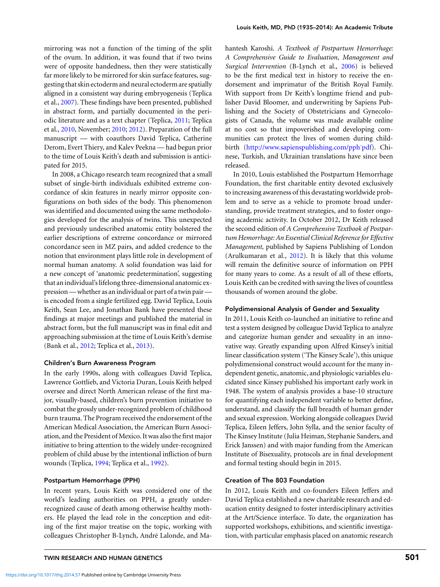mirroring was not a function of the timing of the split of the ovum. In addition, it was found that if two twins were of opposite handedness, then they were statistically far more likely to be mirrored for skin surface features, suggesting that skin ectoderm and neural ectoderm are spatially aligned in a consistent way during embryogenesis (Teplica et al., [2007\)](#page-6-0). These findings have been presented, published in abstract form, and partially documented in the periodic literature and as a text chapter (Teplica, [2011;](#page-6-0) Teplica et al., [2010,](#page-6-0) November; [2010;](#page-6-0) [2012\)](#page-6-0). Preparation of the full manuscript — with coauthors David Teplica, Catherine Derom, Evert Thiery, and Kalev Peekna — had begun prior to the time of Louis Keith's death and submission is anticipated for 2015.

In 2008, a Chicago research team recognized that a small subset of single-birth individuals exhibited extreme concordance of skin features in nearly mirror opposite configurations on both sides of the body. This phenomenon was identified and documented using the same methodologies developed for the analysis of twins. This unexpected and previously undescribed anatomic entity bolstered the earlier descriptions of extreme concordance or mirrored concordance seen in MZ pairs, and added credence to the notion that environment plays little role in development of normal human anatomy. A solid foundation was laid for a new concept of 'anatomic predetermination', suggesting that an individual's lifelong three-dimensional anatomic expression — whether as an individual or part of a twin pair is encoded from a single fertilized egg. David Teplica, Louis Keith, Sean Lee, and Jonathan Bank have presented these findings at major meetings and published the material in abstract form, but the full manuscript was in final edit and approaching submission at the time of Louis Keith's demise (Bank et al., [2012;](#page-6-0) Teplica et al., [2013\)](#page-6-0).

#### Children's Burn Awareness Program

In the early 1990s, along with colleagues David Teplica, Lawrence Gottlieb, and Victoria Duran, Louis Keith helped oversee and direct North American release of the first major, visually-based, children's burn prevention initiative to combat the grossly under-recognized problem of childhood burn trauma. The Program received the endorsement of the American Medical Association, the American Burn Association, and the President of Mexico. It was also the first major initiative to bring attention to the widely under-recognized problem of child abuse by the intentional infliction of burn wounds (Teplica, [1994;](#page-6-0) Teplica et al., [1992\)](#page-6-0).

#### Postpartum Hemorrhage (PPH)

In recent years, Louis Keith was considered one of the world's leading authorities on PPH, a greatly underrecognized cause of death among otherwise healthy mothers. He played the lead role in the conception and editing of the first major treatise on the topic, working with colleagues Christopher B-Lynch, André Lalonde, and Mahantesh Karoshi. *A Textbook of Postpartum Hemorrhage: A Comprehensive Guide to Evaluation, Management and Surgical Intervention* (B-Lynch et al., [2006\)](#page-6-0) is believed to be the first medical text in history to receive the endorsement and imprimatur of the British Royal Family. With support from Dr Keith's longtime friend and publisher David Bloomer, and underwriting by Sapiens Publishing and the Society of Obstetricians and Gynecologists of Canada, the volume was made available online at no cost so that impoverished and developing communities can protect the lives of women during childbirth [\(http://www.sapienspublishing.com/pph˙pdf\)](http://www.sapienspublishing.com/pph_pdf). Chinese, Turkish, and Ukrainian translations have since been released.

In 2010, Louis established the Postpartum Hemorrhage Foundation, the first charitable entity devoted exclusively to increasing awareness of this devastating worldwide problem and to serve as a vehicle to promote broad understanding, provide treatment strategies, and to foster ongoing academic activity. In October 2012, Dr Keith released the second edition of *A Comprehensive Textbook of Postpartum Hemorrhage: An Essential Clinical Reference for Effective Management,* published by Sapiens Publishing of London (Arulkumaran et al., [2012\)](#page-6-0). It is likely that this volume will remain the definitive source of information on PPH for many years to come. As a result of all of these efforts, Louis Keith can be credited with saving the lives of countless thousands of women around the globe.

## Polydimensional Analysis of Gender and Sexuality

In 2011, Louis Keith co-launched an initiative to refine and test a system designed by colleague David Teplica to analyze and categorize human gender and sexuality in an innovative way. Greatly expanding upon Alfred Kinsey's initial linear classification system ('The Kinsey Scale'), this unique polydimensional construct would account for the many independent genetic, anatomic, and physiologic variables elucidated since Kinsey published his important early work in 1948. The system of analysis provides a base-10 structure for quantifying each independent variable to better define, understand, and classify the full breadth of human gender and sexual expression. Working alongside colleagues David Teplica, Eileen Jeffers, John Sylla, and the senior faculty of The Kinsey Institute (Julia Heiman, Stephanie Sanders, and Erick Janssen) and with major funding from the American Institute of Bisexuality, protocols are in final development and formal testing should begin in 2015.

#### Creation of The 803 Foundation

In 2012, Louis Keith and co-founders Eileen Jeffers and David Teplica established a new charitable research and education entity designed to foster interdisciplinary activities at the Art/Science interface. To date, the organization has supported workshops, exhibitions, and scientific investigation, with particular emphasis placed on anatomic research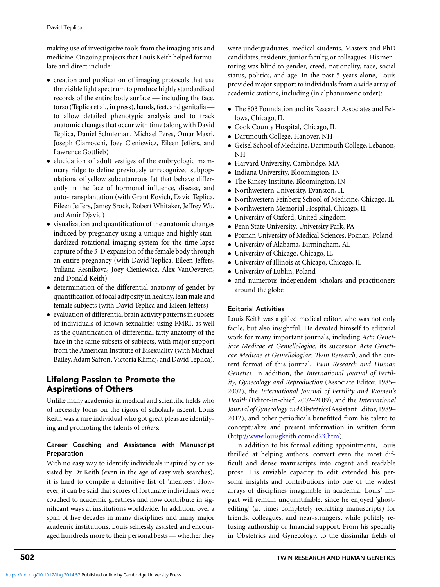making use of investigative tools from the imaging arts and medicine. Ongoing projects that Louis Keith helped formulate and direct include:

- creation and publication of imaging protocols that use the visible light spectrum to produce highly standardized records of the entire body surface — including the face, torso (Teplica et al., in press), hands, feet, and genitalia to allow detailed phenotypic analysis and to track anatomic changes that occur with time (along with David Teplica, Daniel Schuleman, Michael Peres, Omar Masri, Joseph Ciarrocchi, Joey Cieniewicz, Eileen Jeffers, and Lawrence Gottlieb)
- elucidation of adult vestiges of the embryologic mammary ridge to define previously unrecognized subpopulations of yellow subcutaneous fat that behave differently in the face of hormonal influence, disease, and auto-transplantation (with Grant Kovich, David Teplica, Eileen Jeffers, Jamey Srock, Robert Whitaker, Jeffrey Wu, and Amir Djavid)
- visualization and quantification of the anatomic changes induced by pregnancy using a unique and highly standardized rotational imaging system for the time-lapse capture of the 3-D expansion of the female body through an entire pregnancy (with David Teplica, Eileen Jeffers, Yuliana Resnikova, Joey Cieniewicz, Alex VanOeveren, and Donald Keith)
- determination of the differential anatomy of gender by quantification of focal adiposity in healthy, lean male and female subjects (with David Teplica and Eileen Jeffers)
- evaluation of differential brain activity patterns in subsets of individuals of known sexualities using FMRI, as well as the quantification of differential fatty anatomy of the face in the same subsets of subjects, with major support from the American Institute of Bisexuality (with Michael Bailey, Adam Safron, Victoria Klimaj, and David Teplica).

# Lifelong Passion to Promote the Aspirations of Others

Unlike many academics in medical and scientific fields who of necessity focus on the rigors of scholarly ascent, Louis Keith was a rare individual who got great pleasure identifying and promoting the talents of *others*:

## Career Coaching and Assistance with Manuscript Preparation

With no easy way to identify individuals inspired by or assisted by Dr Keith (even in the age of easy web searches), it is hard to compile a definitive list of 'mentees'. However, it can be said that scores of fortunate individuals were coached to academic greatness and now contribute in significant ways at institutions worldwide. In addition, over a span of five decades in many disciplines and many major academic institutions, Louis selflessly assisted and encouraged hundreds more to their personal bests — whether they were undergraduates, medical students, Masters and PhD candidates, residents, junior faculty, or colleagues. His mentoring was blind to gender, creed, nationality, race, social status, politics, and age. In the past 5 years alone, Louis provided major support to individuals from a wide array of academic stations, including (in alphanumeric order):

- The 803 Foundation and its Research Associates and Fellows, Chicago, IL
- Cook County Hospital, Chicago, IL
- Dartmouth College, Hanover, NH
- Geisel School of Medicine, Dartmouth College, Lebanon, NH
- Harvard University, Cambridge, MA
- Indiana University, Bloomington, IN
- The Kinsey Institute, Bloomington, IN
- Northwestern University, Evanston, IL
- Northwestern Feinberg School of Medicine, Chicago, IL
- Northwestern Memorial Hospital, Chicago, IL
- University of Oxford, United Kingdom
- Penn State University, University Park, PA
- Poznan University of Medical Sciences, Poznan, Poland
- University of Alabama, Birmingham, AL
- University of Chicago, Chicago, IL
- University of Illinois at Chicago, Chicago, IL
- University of Lublin, Poland
- and numerous independent scholars and practitioners around the globe

## Editorial Activities

Louis Keith was a gifted medical editor, who was not only facile, but also insightful. He devoted himself to editorial work for many important journals, including *Acta Geneticae Medicae et Gemellologiae,* its successor *Acta Geneticae Medicae et Gemellologiae: Twin Research*, and the current format of this journal, *Twin Research and Human Genetics*. In addition, the *International Journal of Fertility, Gynecology and Reproduction* (Associate Editor, 1985– 2002), the *International Journal of Fertility and Women's Health* (Editor-in-chief, 2002–2009), and the *International Journal of Gynecology and Obstetrics*(Assistant Editor, 1989– 2012), and other periodicals benefitted from his talent to conceptualize and present information in written form [\(http://www.louisgkeith.com/id23.htm\)](http://www.louisgkeith.com/id23.htm).

In addition to his formal editing appointments, Louis thrilled at helping authors, convert even the most difficult and dense manuscripts into cogent and readable prose. His enviable capacity to edit extended his personal insights and contributions into one of the widest arrays of disciplines imaginable in academia. Louis' impact will remain unquantifiable, since he enjoyed 'ghostediting' (at times completely recrafting manuscripts) for friends, colleagues, and near-strangers, while politely refusing authorship or financial support. From his specialty in Obstetrics and Gynecology, to the dissimilar fields of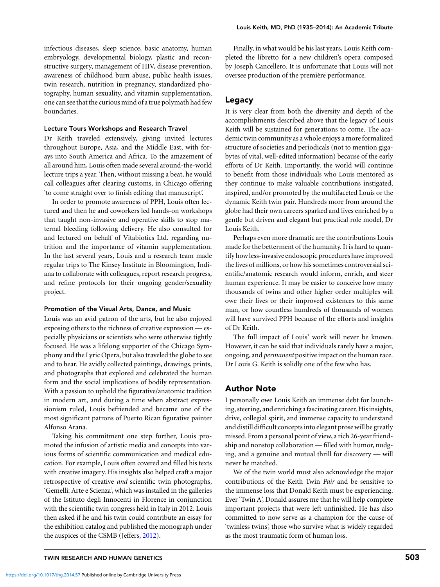infectious diseases, sleep science, basic anatomy, human embryology, developmental biology, plastic and reconstructive surgery, management of HIV, disease prevention, awareness of childhood burn abuse, public health issues, twin research, nutrition in pregnancy, standardized photography, human sexuality, and vitamin supplementation, one can see that the curious mind of a true polymath had few boundaries.

#### Lecture Tours Workshops and Research Travel

Dr Keith traveled extensively, giving invited lectures throughout Europe, Asia, and the Middle East, with forays into South America and Africa. To the amazement of all around him, Louis often made several around-the-world lecture trips a year. Then, without missing a beat, he would call colleagues after clearing customs, in Chicago offering 'to come straight over to finish editing that manuscript'.

In order to promote awareness of PPH, Louis often lectured and then he and coworkers led hands-on workshops that taught non-invasive and operative skills to stop maternal bleeding following delivery. He also consulted for and lectured on behalf of Vitabiotics Ltd. regarding nutrition and the importance of vitamin supplementation. In the last several years, Louis and a research team made regular trips to The Kinsey Institute in Bloomington, Indiana to collaborate with colleagues, report research progress, and refine protocols for their ongoing gender/sexuality project.

#### Promotion of the Visual Arts, Dance, and Music

Louis was an avid patron of the arts, but he also enjoyed exposing others to the richness of creative expression — especially physicians or scientists who were otherwise tightly focused. He was a lifelong supporter of the Chicago Symphony and the Lyric Opera, but also traveled the globe to see and to hear. He avidly collected paintings, drawings, prints, and photographs that explored and celebrated the human form and the social implications of bodily representation. With a passion to uphold the figurative/anatomic tradition in modern art, and during a time when abstract expressionism ruled, Louis befriended and became one of the most significant patrons of Puerto Rican figurative painter Alfonso Arana.

Taking his commitment one step further, Louis promoted the infusion of artistic media and concepts into various forms of scientific communication and medical education. For example, Louis often covered and filled his texts with creative imagery. His insights also helped craft a major retrospective of creative *and* scientific twin photographs, 'Gemelli: Arte e Scienza', which was installed in the galleries of the Istituto degli Innocenti in Florence in conjunction with the scientific twin congress held in Italy in 2012. Louis then asked if he and his twin could contribute an essay for the exhibition catalog and published the monograph under the auspices of the CSMB (Jeffers, [2012\)](#page-6-0).

Finally, in what would be his last years, Louis Keith completed the libretto for a new children's opera composed by Joseph Cancellero. It is unfortunate that Louis will not oversee production of the première performance.

## Legacy

It is very clear from both the diversity and depth of the accomplishments described above that the legacy of Louis Keith will be sustained for generations to come. The academic twin community as a whole enjoys a more formalized structure of societies and periodicals (not to mention gigabytes of vital, well-edited information) because of the early efforts of Dr Keith. Importantly, the world will continue to benefit from those individuals who Louis mentored as they continue to make valuable contributions instigated, inspired, and/or promoted by the multifaceted Louis or the dynamic Keith twin pair. Hundreds more from around the globe had their own careers sparked and lives enriched by a gentle but driven and elegant but practical role model, Dr Louis Keith.

Perhaps even more dramatic are the contributions Louis made for the betterment of the humanity. It is hard to quantify how less-invasive endoscopic procedures have improved the lives of millions, or how his sometimes controversial scientific/anatomic research would inform, enrich, and steer human experience. It may be easier to conceive how many thousands of twins and other higher order multiples will owe their lives or their improved existences to this same man, or how countless hundreds of thousands of women will have survived PPH because of the efforts and insights of Dr Keith.

The full impact of Louis' work will never be known. However, it can be said that individuals rarely have a major, ongoing, and *permanent* positive impact on the human race. Dr Louis G. Keith is solidly one of the few who has.

## Author Note

I personally owe Louis Keith an immense debt for launching, steering, and enriching a fascinating career. His insights, drive, collegial spirit, and immense capacity to understand and distill difficult concepts into elegant prose will be greatly missed. From a personal point of view, a rich 26-year friendship and nonstop collaboration — filled with humor, nudging, and a genuine and mutual thrill for discovery — will never be matched.

We of the twin world must also acknowledge the major contributions of the Keith Twin *Pair* and be sensitive to the immense loss that Donald Keith must be experiencing. Ever 'Twin A', Donald assures me that he will help complete important projects that were left unfinished. He has also committed to now serve as a champion for the cause of 'twinless twins', those who survive what is widely regarded as the most traumatic form of human loss.